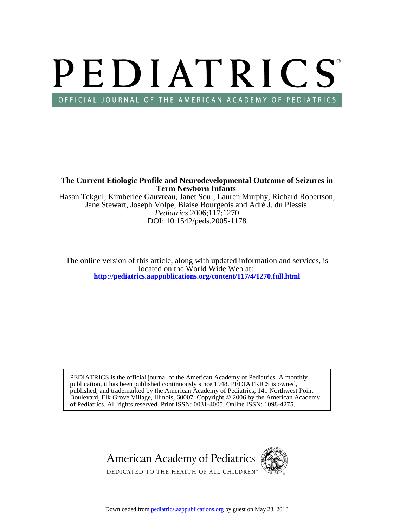# PEDIATRICS OFFICIAL JOURNAL OF THE AMERICAN ACADEMY OF PEDIATRICS

**Term Newborn Infants The Current Etiologic Profile and Neurodevelopmental Outcome of Seizures in**

DOI: 10.1542/peds.2005-1178 *Pediatrics* 2006;117;1270 Jane Stewart, Joseph Volpe, Blaise Bourgeois and Adré J. du Plessis Hasan Tekgul, Kimberlee Gauvreau, Janet Soul, Lauren Murphy, Richard Robertson,

**<http://pediatrics.aappublications.org/content/117/4/1270.full.html>** located on the World Wide Web at: The online version of this article, along with updated information and services, is

of Pediatrics. All rights reserved. Print ISSN: 0031-4005. Online ISSN: 1098-4275. Boulevard, Elk Grove Village, Illinois, 60007. Copyright © 2006 by the American Academy published, and trademarked by the American Academy of Pediatrics, 141 Northwest Point publication, it has been published continuously since 1948. PEDIATRICS is owned, PEDIATRICS is the official journal of the American Academy of Pediatrics. A monthly

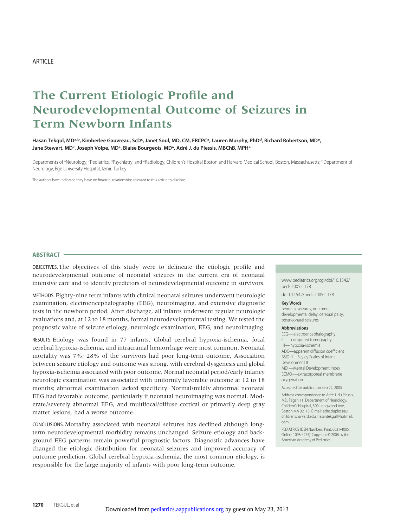# **The Current Etiologic Profile and Neurodevelopmental Outcome of Seizures in Term Newborn Infants**

Hasan Tekgul, MDª,b, Kimberlee Gauvreau, ScD<sup>c</sup>, Janet Soul, MD, CM, FRCPCª, Lauren Murphy, PhD<sup>d</sup>, Richard Robertson, MD<sup>e</sup>, Jane Stewart, MD<sup>c</sup>, Joseph Volpe, MD<sup>a</sup>, Blaise Bourgeois, MD<sup>a</sup>, Adré J. du Plessis, MBChB, MPH<sup>a</sup>

Departments of <sup>a</sup>Neurology, <sup>c</sup>Pediatrics, <sup>d</sup>Psychiatry, and <sup>e</sup>Radiology, Children's Hospital Boston and Harvard Medical School, Boston, Massachusetts; <sup>b</sup>Department of Neurology, Ege University Hospital, Izmir, Turkey

The authors have indicated they have no financial relationships relevant to this article to disclose.

#### **ABSTRACT**

OBJECTIVES. The objectives of this study were to delineate the etiologic profile and neurodevelopmental outcome of neonatal seizures in the current era of neonatal intensive care and to identify predictors of neurodevelopmental outcome in survivors.

METHODS. Eighty-nine term infants with clinical neonatal seizures underwent neurologic examination, electroencephalography (EEG), neuroimaging, and extensive diagnostic tests in the newborn period. After discharge, all infants underwent regular neurologic evaluations and, at 12 to 18 months, formal neurodevelopmental testing. We tested the prognostic value of seizure etiology, neurologic examination, EEG, and neuroimaging.

RESULTS. Etiology was found in 77 infants. Global cerebral hypoxia-ischemia, focal cerebral hypoxia-ischemia, and intracranial hemorrhage were most common. Neonatal mortality was 7%; 28% of the survivors had poor long-term outcome. Association between seizure etiology and outcome was strong, with cerebral dysgenesis and global hypoxia-ischemia associated with poor outcome. Normal neonatal period/early infancy neurologic examination was associated with uniformly favorable outcome at 12 to 18 months; abnormal examination lacked specificity. Normal/mildly abnormal neonatal EEG had favorable outcome, particularly if neonatal neuroimaging was normal. Moderate/severely abnormal EEG, and multifocal/diffuse cortical or primarily deep gray matter lesions, had a worse outcome.

CONCLUSIONS. Mortality associated with neonatal seizures has declined although longterm neurodevelopmental morbidity remains unchanged. Seizure etiology and background EEG patterns remain powerful prognostic factors. Diagnostic advances have changed the etiologic distribution for neonatal seizures and improved accuracy of outcome prediction. Global cerebral hypoxia-ischemia, the most common etiology, is responsible for the large majority of infants with poor long-term outcome.

www.pediatrics.org/cgi/doi/10.1542/ peds.2005-1178

doi:10.1542/peds.2005-1178

#### **Key Words**

neonatal seizures, outcome, developmental delay, cerebral palsy, postneonatal seizures

#### **Abbreviations**

EEG— electroencephalography CT— computed tomography HI—hypoxia-ischemia ADC—apparent diffusion coefficient BSID-II—Bayley Scales of Infant Development II MDI—Mental Development Index ECMO— extracorporeal membrane oxygenation

Accepted for publication Sep 22, 2005

Address correspondence to Adré J. du Plessis, MD, Fegan 11, Department of Neurology, Children's Hospital, 300 Longwood Ave, Boston MA 02115. E-mail: adre.duplessis@ childrens.harvard.edu, hasantekgul@hotmail. com

PEDIATRICS (ISSN Numbers: Print, 0031-4005; Online, 1098-4275). Copyright © 2006 by the American Academy of Pediatrics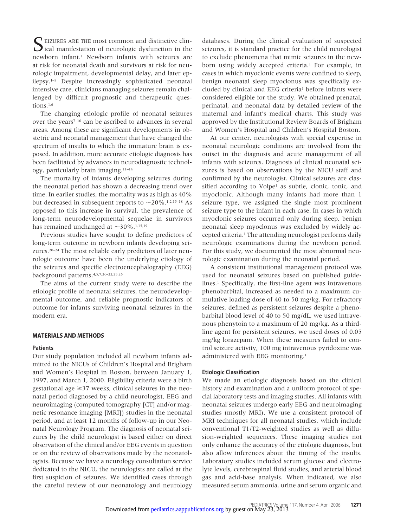SEIZURES ARE THE most common and distinctive clinical manifestation of neurologic dysfunction in the newborn infant.1 Newborn infants with seizures are at risk for neonatal death and survivors at risk for neurologic impairment, developmental delay, and later epilepsy.1–5 Despite increasingly sophisticated neonatal intensive care, clinicians managing seizures remain challenged by difficult prognostic and therapeutic questions.<sup>1,6</sup>

The changing etiologic profile of neonatal seizures over the years<sup>7-10</sup> can be ascribed to advances in several areas. Among these are significant developments in obstetric and neonatal management that have changed the spectrum of insults to which the immature brain is exposed. In addition, more accurate etiologic diagnosis has been facilitated by advances in neurodiagnostic technology, particularly brain imaging.11–14

The mortality of infants developing seizures during the neonatal period has shown a decreasing trend over time. In earlier studies, the mortality was as high as 40% but decreased in subsequent reports to  $\sim$ 20%.<sup>1,2,15–18</sup> As opposed to this increase in survival, the prevalence of long-term neurodevelopmental sequelae in survivors has remained unchanged at  $\sim$ 30%.<sup>1,15,19</sup>

Previous studies have sought to define predictors of long-term outcome in newborn infants developing seizures.20–24 The most reliable early predictors of later neurologic outcome have been the underlying etiology of the seizures and specific electroencephalography (EEG) background patterns.4,5,7,20–22,25,26

The aims of the current study were to describe the etiologic profile of neonatal seizures, the neurodevelopmental outcome, and reliable prognostic indicators of outcome for infants surviving neonatal seizures in the modern era.

# **MATERIALS AND METHODS**

#### **Patients**

Our study population included all newborn infants admitted to the NICUs of Children's Hospital and Brigham and Women's Hospital in Boston, between January 1, 1997, and March 1, 2000. Eligibility criteria were a birth gestational age  $\geq$ 37 weeks, clinical seizures in the neonatal period diagnosed by a child neurologist, EEG and neuroimaging (computed tomography [CT] and/or magnetic resonance imaging [MRI]) studies in the neonatal period, and at least 12 months of follow-up in our Neonatal Neurology Program. The diagnosis of neonatal seizures by the child neurologist is based either on direct observation of the clinical and/or EEG events in question or on the review of observations made by the neonatologists. Because we have a neurology consultation service dedicated to the NICU, the neurologists are called at the first suspicion of seizures. We identified cases through the careful review of our neonatology and neurology

databases. During the clinical evaluation of suspected seizures, it is standard practice for the child neurologist to exclude phenomena that mimic seizures in the newborn using widely accepted criteria.<sup>1</sup> For example, in cases in which myoclonic events were confined to sleep, benign neonatal sleep myoclonus was specifically excluded by clinical and EEG criteria<sup>1</sup> before infants were considered eligible for the study. We obtained prenatal, perinatal, and neonatal data by detailed review of the maternal and infant's medical charts. This study was approved by the Institutional Review Boards of Brigham and Women's Hospital and Children's Hospital Boston.

At our center, neurologists with special expertise in neonatal neurologic conditions are involved from the outset in the diagnosis and acute management of all infants with seizures. Diagnosis of clinical neonatal seizures is based on observations by the NICU staff and confirmed by the neurologist. Clinical seizures are classified according to Volpe<sup>1</sup> as subtle, clonic, tonic, and myoclonic. Although many infants had more than 1 seizure type, we assigned the single most prominent seizure type to the infant in each case. In cases in which myoclonic seizures occurred only during sleep, benign neonatal sleep myoclonus was excluded by widely accepted criteria.1 The attending neurologist performs daily neurologic examinations during the newborn period. For this study, we documented the most abnormal neurologic examination during the neonatal period.

A consistent institutional management protocol was used for neonatal seizures based on published guidelines.<sup>1</sup> Specifically, the first-line agent was intravenous phenobarbital, increased as needed to a maximum cumulative loading dose of 40 to 50 mg/kg. For refractory seizures, defined as persistent seizures despite a phenobarbital blood level of 40 to 50 mg/dL, we used intravenous phenytoin to a maximum of 20 mg/kg. As a thirdline agent for persistent seizures, we used doses of 0.05 mg/kg lorazepam. When these measures failed to control seizure activity, 100 mg intravenous pyridoxine was administered with EEG monitoring.1

#### **Etiologic Classification**

We made an etiologic diagnosis based on the clinical history and examination and a uniform protocol of special laboratory tests and imaging studies. All infants with neonatal seizures undergo early EEG and neuroimaging studies (mostly MRI). We use a consistent protocol of MRI techniques for all neonatal studies, which include conventional T1/T2-weighted studies as well as diffusion-weighted sequences. These imaging studies not only enhance the accuracy of the etiologic diagnosis, but also allow inferences about the timing of the insults. Laboratory studies included serum glucose and electrolyte levels, cerebrospinal fluid studies, and arterial blood gas and acid-base analysis. When indicated, we also measured serum ammonia, urine and serum organic and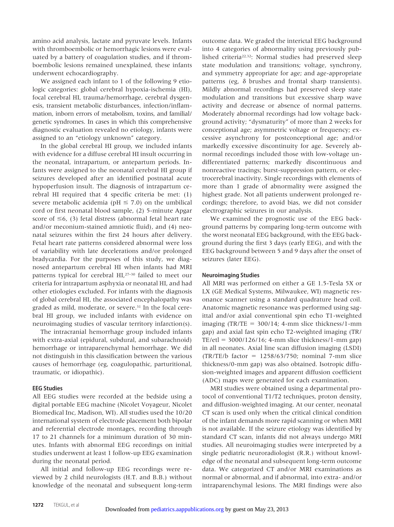amino acid analysis, lactate and pyruvate levels. Infants with thromboembolic or hemorrhagic lesions were evaluated by a battery of coagulation studies, and if thromboembolic lesions remained unexplained, these infants underwent echocardiography.

We assigned each infant to 1 of the following 9 etiologic categories: global cerebral hypoxia-ischemia (HI), focal cerebral HI, trauma/hemorrhage, cerebral dysgenesis, transient metabolic disturbances, infection/inflammation, inborn errors of metabolism, toxins, and familial/ genetic syndromes. In cases in which this comprehensive diagnostic evaluation revealed no etiology, infants were assigned to an "etiology unknown" category.

In the global cerebral HI group, we included infants with evidence for a diffuse cerebral HI insult occurring in the neonatal, intrapartum, or antepartum periods. Infants were assigned to the neonatal cerebral HI group if seizures developed after an identified postnatal acute hypoperfusion insult. The diagnosis of intrapartum cerebral HI required that 4 specific criteria be met: (1) severe metabolic acidemia ( $pH \leq 7.0$ ) on the umbilical cord or first neonatal blood sample, (2) 5-minute Apgar score of  $\leq$  6, (3) fetal distress (abnormal fetal heart rate and/or meconium-stained amniotic fluid), and (4) neonatal seizures within the first 24 hours after delivery. Fetal heart rate patterns considered abnormal were loss of variability with late decelerations and/or prolonged bradycardia. For the purposes of this study, we diagnosed antepartum cerebral HI when infants had MRI patterns typical for cerebral HI,27–30 failed to meet our criteria for intrapartum asphyxia or neonatal HI, and had other etiologies excluded. For infants with the diagnosis of global cerebral HI, the associated encephalopathy was graded as mild, moderate, or severe.31 In the focal cerebral HI group, we included infants with evidence on neuroimaging studies of vascular territory infarction(s).

The intracranial hemorrhage group included infants with extra-axial (epidural, subdural, and subarachnoid) hemorrhage or intraparenchymal hemorrhage. We did not distinguish in this classification between the various causes of hemorrhage (eg, coagulopathic, parturitional, traumatic, or idiopathic).

# **EEG Studies**

All EEG studies were recorded at the bedside using a digital portable EEG machine (Nicolet Voyageur, Nicolet Biomedical Inc, Madison, WI). All studies used the 10/20 international system of electrode placement both bipolar and referential electrode montages, recording through 17 to 21 channels for a minimum duration of 30 minutes. Infants with abnormal EEG recordings on initial studies underwent at least 1 follow-up EEG examination during the neonatal period.

All initial and follow-up EEG recordings were reviewed by 2 child neurologists (H.T. and B.B.) without knowledge of the neonatal and subsequent long-term outcome data. We graded the interictal EEG background into 4 categories of abnormality using previously published criteria22,32: Normal studies had preserved sleep state modulation and transitions; voltage, synchrony, and symmetry appropriate for age; and age-appropriate patterns (eg,  $\delta$  brushes and frontal sharp transients). Mildly abnormal recordings had preserved sleep state modulation and transitions but excessive sharp wave activity and decrease or absence of normal patterns. Moderately abnormal recordings had low voltage background activity; "dysmaturity" of more than 2 weeks for conceptional age; asymmetric voltage or frequency; excessive asynchrony for postconceptional age; and/or markedly excessive discontinuity for age. Severely abnormal recordings included those with low-voltage undifferentiated patterns; markedly discontinuous and nonreactive tracings; burst-suppression pattern, or electrocerebral inactivity. Single recordings with elements of more than 1 grade of abnormality were assigned the highest grade. Not all patients underwent prolonged recordings; therefore, to avoid bias, we did not consider electrographic seizures in our analysis.

We examined the prognostic use of the EEG background patterns by comparing long-term outcome with the worst neonatal EEG background, with the EEG background during the first 3 days (early EEG), and with the EEG background between 5 and 9 days after the onset of seizures (later EEG).

# **Neuroimaging Studies**

All MRI was performed on either a GE 1.5-Tesla 5X or LX (GE Medical Systems, Milwaukee, WI) magnetic resonance scanner using a standard quadrature head coil. Anatomic magnetic resonance was performed using sagittal and/or axial conventional spin echo T1-weighted imaging  $(TR/TE = 300/14; 4-mm slice thickness/1-mm$ gap) and axial fast spin echo T2-weighted imaging (TR/  $TE/etl = 3000/126/16$ ; 4-mm slice thickness/1-mm gap) in all neonates. Axial line scan diffusion imaging (LSDI)  $(TR/TE/b \text{ factor} = 1258/63/750; \text{nominal} 7\text{-mm} \text{ slice}$ thickness/0-mm gap) was also obtained. Isotropic diffusion-weighted images and apparent diffusion coefficient (ADC) maps were generated for each examination.

MRI studies were obtained using a departmental protocol of conventional T1/T2 techniques, proton density, and diffusion-weighted imaging. At our center, neonatal CT scan is used only when the critical clinical condition of the infant demands more rapid scanning or when MRI is not available. If the seizure etiology was identified by standard CT scan, infants did not always undergo MRI studies. All neuroimaging studies were interpreted by a single pediatric neuroradiologist (R.R.) without knowledge of the neonatal and subsequent long-term outcome data. We categorized CT and/or MRI examinations as normal or abnormal, and if abnormal, into extra- and/or intraparenchymal lesions. The MRI findings were also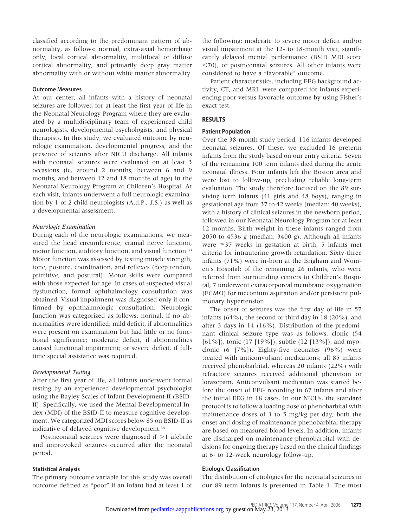classified according to the predominant pattern of abnormality, as follows: normal, extra-axial hemorrhage only, focal cortical abnormality, multifocal or diffuse cortical abnormality, and primarily deep gray matter abnormality with or without white matter abnormality.

#### **Outcome Measures**

At our center, all infants with a history of neonatal seizures are followed for at least the first year of life in the Neonatal Neurology Program where they are evaluated by a multidisciplinary team of experienced child neurologists, developmental psychologists, and physical therapists. In this study, we evaluated outcome by neurologic examination, developmental progress, and the presence of seizures after NICU discharge. All infants with neonatal seizures were evaluated on at least 3 occasions (ie, around 2 months, between 6 and 9 months, and between 12 and 18 months of age) in the Neonatal Neurology Program at Children's Hospital. At each visit, infants underwent a full neurologic examination by 1 of 2 child neurologists (A.d.P., J.S.) as well as a developmental assessment.

#### *Neurologic Examination*

During each of the neurologic examinations, we measured the head circumference, cranial nerve function, motor function, auditory function, and visual function.<sup>33</sup> Motor function was assessed by testing muscle strength, tone, posture, coordination, and reflexes (deep tendon, primitive, and postural). Motor skills were compared with those expected for age. In cases of suspected visual dysfunction, formal ophthalmology consultation was obtained. Visual impairment was diagnosed only if confirmed by ophthalmologic consultation. Neurologic function was categorized as follows: normal, if no abnormalities were identified; mild deficit, if abnormalities were present on examination but had little or no functional significance; moderate deficit, if abnormalities caused functional impairment; or severe deficit, if fulltime special assistance was required.

# *Developmental Testing*

After the first year of life, all infants underwent formal testing by an experienced developmental psychologist using the Bayley Scales of Infant Development II (BSID-II). Specifically, we used the Mental Developmental Index (MDI) of the BSID-II to measure cognitive development. We categorized MDI scores below 85 on BSID-II as indicative of delayed cognitive development.<sup>34</sup>

Postneonatal seizures were diagnosed if  $>1$  afebrile and unprovoked seizures occurred after the neonatal period.

# **Statistical Analysis**

The primary outcome variable for this study was overall outcome defined as "poor" if an infant had at least 1 of the following: moderate to severe motor deficit and/or visual impairment at the 12- to 18-month visit, significantly delayed mental performance (BSID MDI score 70), or postneonatal seizures. All other infants were considered to have a "favorable" outcome.

Patient characteristics, including EEG background activity, CT, and MRI, were compared for infants experiencing poor versus favorable outcome by using Fisher's exact test.

# **RESULTS**

# **Patient Population**

Over the 38-month study period, 116 infants developed neonatal seizures. Of these, we excluded 16 preterm infants from the study based on our entry criteria. Seven of the remaining 100 term infants died during the acute neonatal illness. Four infants left the Boston area and were lost to follow-up, precluding reliable long-term evaluation. The study therefore focused on the 89 surviving term infants (41 girls and 48 boys), ranging in gestational age from 37 to 42 weeks (median: 40 weeks), with a history of clinical seizures in the newborn period, followed in our Neonatal Neurology Program for at least 12 months. Birth weight in these infants ranged from 2050 to 4536 g (median: 3400 g). Although all infants were  $\geq$ 37 weeks in gestation at birth, 5 infants met criteria for intrauterine growth retardation. Sixty-three infants (71%) were in-born at the Brigham and Women's Hospital; of the remaining 26 infants, who were referred from surrounding centers to Children's Hospital, 7 underwent extracorporeal membrane oxygenation (ECMO) for meconium aspiration and/or persistent pulmonary hypertension.

The onset of seizures was the first day of life in 57 infants (64%), the second or third day in 18 (20%), and after 3 days in 14 (16%). Distribution of the predominant clinical seizure type was as follows: clonic (54 [61%]), tonic (17 [19%]), subtle (12 [13%]), and myoclonic (6 [7%]). Eighty-five neonates (96%) were treated with anticonvulsant medications; all 85 infants received phenobarbital, whereas 20 infants (22%) with refractory seizures received additional phenytoin or lorazepam. Anticonvulsant medication was started before the onset of EEG recording in 67 infants and after the initial EEG in 18 cases. In our NICUs, the standard protocol is to follow a loading dose of phenobarbital with maintenance doses of 3 to 5 mg/kg per day; both the onset and dosing of maintenance phenobarbital therapy are based on measured blood levels. In addition, infants are discharged on maintenance phenobarbital with decisions for ongoing therapy based on the clinical findings at 6- to 12-week neurology follow-up.

### **Etiologic Classification**

The distribution of etiologies for the neonatal seizures in our 89 term infants is presented in Table 1. The most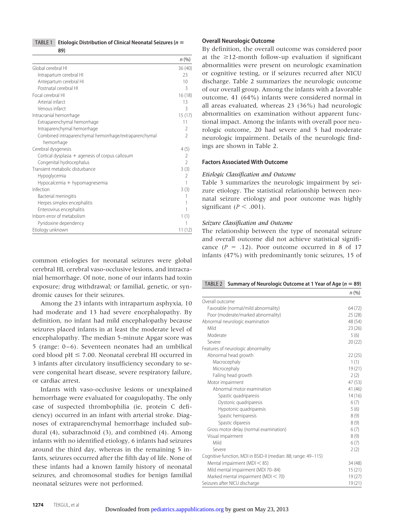## TABLE 1 **Etiologic Distribution of Clinical Neonatal Seizures (n**

**89)**

|                                                       | $n (\%)$                 |
|-------------------------------------------------------|--------------------------|
| Global cerebral HI                                    | 36(40)                   |
| Intrapartum cerebral HI                               | 23                       |
| Antepartum cerebral HI                                | 10                       |
| Postnatal cerebral HI                                 | 3                        |
| Focal cerebral HI                                     | 16(18)                   |
| Arterial infarct                                      | 13                       |
| Venous infarct                                        | 3                        |
| Intracranial hemorrhage                               | 15(17)                   |
| Extraparenchymal hemorrhage                           | 11                       |
| Intraparenchymal hemorrhage                           | 2                        |
| Combined intraparenchymal hemorrhage/extraparenchymal | $\overline{\phantom{a}}$ |
| hemorrhage                                            |                          |
| Cerebral dysgenesis                                   | 4(5)                     |
| Cortical dysplasia $+$ agenesis of corpus callosum    | 2                        |
| Congenital hydrocephalus                              | $\mathcal{P}$            |
| Transient metabolic disturbance                       | 3(3)                     |
| Hypoglycemia                                          | $\overline{\phantom{a}}$ |
| Hypocalcemia + hypomagnesemia                         | 1                        |
| Infection                                             | 3(3)                     |
| Bacterial meningitis                                  |                          |
| Herpes simplex encephalitis                           |                          |
| Enterovirus encephalitis                              |                          |
| Inborn error of metabolism                            | 1(1)                     |
| Pyridoxine dependency                                 |                          |
| Etiology unknown                                      | 11(12)                   |

common etiologies for neonatal seizures were global cerebral HI, cerebral vaso-occlusive lesions, and intracranial hemorrhage. Of note, none of our infants had toxin exposure; drug withdrawal; or familial, genetic, or syndromic causes for their seizures.

Among the 23 infants with intrapartum asphyxia, 10 had moderate and 13 had severe encephalopathy. By definition, no infant had mild encephalopathy because seizures placed infants in at least the moderate level of encephalopathy. The median 5-minute Apgar score was 5 (range:  $0-6$ ). Seventeen neonates had an umbilical cord blood  $pH \leq 7.00$ . Neonatal cerebral HI occurred in 3 infants after circulatory insufficiency secondary to severe congenital heart disease, severe respiratory failure, or cardiac arrest.

Infants with vaso-occlusive lesions or unexplained hemorrhage were evaluated for coagulopathy. The only case of suspected thrombophilia (ie, protein C deficiency) occurred in an infant with arterial stroke. Diagnoses of extraparenchymal hemorrhage included subdural (4), subarachnoid (3), and combined (4). Among infants with no identified etiology, 6 infants had seizures around the third day, whereas in the remaining 5 infants, seizures occurred after the fifth day of life. None of these infants had a known family history of neonatal seizures, and chromosomal studies for benign familial neonatal seizures were not performed.

# **Overall Neurologic Outcome**

By definition, the overall outcome was considered poor at the  $\geq$ 12-month follow-up evaluation if significant abnormalities were present on neurologic examination or cognitive testing, or if seizures recurred after NICU discharge. Table 2 summarizes the neurologic outcome of our overall group. Among the infants with a favorable outcome, 41 (64%) infants were considered normal in all areas evaluated, whereas 23 (36%) had neurologic abnormalities on examination without apparent functional impact. Among the infants with overall poor neurologic outcome, 20 had severe and 5 had moderate neurologic impairment. Details of the neurologic findings are shown in Table 2.

# **Factors Associated With Outcome**

#### *Etiologic Classification and Outcome*

Table 3 summarizes the neurologic impairment by seizure etiology. The statistical relationship between neonatal seizure etiology and poor outcome was highly significant  $(P < .001)$ .

#### *Seizure Classification and Outcome*

The relationship between the type of neonatal seizure and overall outcome did not achieve statistical significance  $(P = .12)$ . Poor outcome occurred in 8 of 17 infants (47%) with predominantly tonic seizures, 15 of

#### TABLE 2 **Summary of Neurologic Outcome at 1 Year of Age (n 89)**

|                                                                | n(%)    |
|----------------------------------------------------------------|---------|
| Overall outcome                                                |         |
| Favorable (normal/mild abnormality)                            | 64 (72) |
| Poor (moderate/marked abnormality)                             | 25(28)  |
| Abnormal neurologic examination                                | 48 (54) |
| Mild                                                           | 23(26)  |
| Moderate                                                       | 5(6)    |
| Severe                                                         | 20(22)  |
| Features of neurologic abnormality                             |         |
| Abnormal head growth                                           | 22(25)  |
| Macrocephaly                                                   | 1(1)    |
| Microcephaly                                                   | 19(21)  |
| Failing head growth                                            | 2(2)    |
| Motor impairment                                               | 47 (53) |
| Abnormal motor examination                                     | 41 (46) |
| Spastic quadriparesis                                          | 14(16)  |
| Dystonic quadriparesis                                         | 6(7)    |
| Hypotonic quadriparesis                                        | 5(6)    |
| Spastic hemiparesis                                            | 8(9)    |
| Spastic diparesis                                              | 8(9)    |
| Gross motor delay (normal examination)                         | 6(7)    |
| Visual impairment                                              | 8(9)    |
| Mild                                                           | 6(7)    |
| Severe                                                         | 2(2)    |
| Cognitive function, MDI in BSID-II (median: 88; range: 49-115) |         |
| Mental impairment (MDI $<$ 85)                                 | 34 (48) |
| Mild mental impairment (MDI 70-84)                             | 15(21)  |
| Marked mental impairment (MDI < 70)                            | 19(27)  |
| Seizures after NICU discharge                                  | 19(21)  |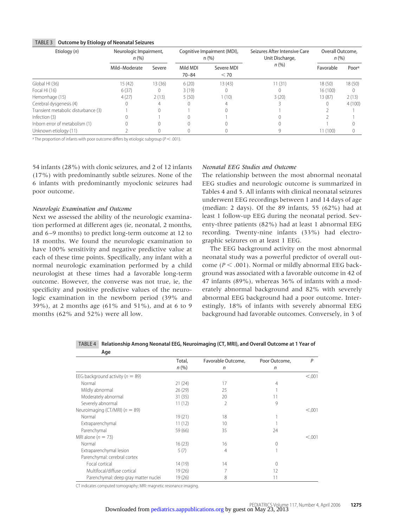#### TABLE 3 **Outcome by Etiology of Neonatal Seizures**

| Etiology (n)                        | Neurologic Impairment,<br>n(%) |         | Cognitive Impairment (MDI),<br>n(%) |                    | Seizures After Intensive Care<br>Unit Discharge, | Overall Outcome.<br>n(%) |        |
|-------------------------------------|--------------------------------|---------|-------------------------------------|--------------------|--------------------------------------------------|--------------------------|--------|
|                                     | Mild-Moderate                  | Severe  | Mild MDI<br>$70 - 84$               | Severe MDI<br>< 70 | $n$ (%)                                          | Favorable                | Poora  |
| Global HI (36)                      | 15(42)                         | 13 (36) | 6(20)                               | 13(43)             | 11(31)                                           | 18(50)                   | 18(50) |
| Focal HI $(16)$                     | 6(37)                          |         | 3(19)                               | 0                  |                                                  | 16(100)                  |        |
| Hemorrhage (15)                     | 4(27)                          | 2(13)   | 5(50)                               | 1(10)              | 3(20)                                            | 13 (87)                  | 2(13)  |
| Cerebral dysgenesis (4)             |                                |         |                                     |                    |                                                  |                          | 4(100) |
| Transient metabolic disturbance (3) |                                |         |                                     |                    |                                                  |                          |        |
| Infection (3)                       |                                |         |                                     |                    |                                                  |                          |        |
| Inborn error of metabolism (1)      |                                |         |                                     |                    |                                                  |                          |        |
| Unknown etiology (11)               |                                |         |                                     |                    |                                                  | 11(100)                  |        |

<sup>a</sup> The proportion of infants with poor outcome differs by etiologic subgroup ( $P < .001$ ).

54 infants (28%) with clonic seizures, and 2 of 12 infants (17%) with predominantly subtle seizures. None of the 6 infants with predominantly myoclonic seizures had poor outcome.

# *Neurologic Examination and Outcome*

Next we assessed the ability of the neurologic examination performed at different ages (ie, neonatal, 2 months, and 6 –9 months) to predict long-term outcome at 12 to 18 months. We found the neurologic examination to have 100% sensitivity and negative predictive value at each of these time points. Specifically, any infant with a normal neurologic examination performed by a child neurologist at these times had a favorable long-term outcome. However, the converse was not true, ie, the specificity and positive predictive values of the neurologic examination in the newborn period (39% and 39%), at 2 months age (61% and 51%), and at 6 to 9 months (62% and 52%) were all low.

#### *Neonatal EEG Studies and Outcome*

The relationship between the most abnormal neonatal EEG studies and neurologic outcome is summarized in Tables 4 and 5. All infants with clinical neonatal seizures underwent EEG recordings between 1 and 14 days of age (median: 2 days). Of the 89 infants, 55 (62%) had at least 1 follow-up EEG during the neonatal period. Seventy-three patients (82%) had at least 1 abnormal EEG recording. Twenty-nine infants (33%) had electrographic seizures on at least 1 EEG.

The EEG background activity on the most abnormal neonatal study was a powerful predictor of overall outcome ( $P < .001$ ). Normal or mildly abnormal EEG background was associated with a favorable outcome in 42 of 47 infants (89%), whereas 36% of infants with a moderately abnormal background and 82% with severely abnormal EEG background had a poor outcome. Interestingly, 18% of infants with severely abnormal EEG background had favorable outcomes. Conversely, in 3 of

| nye                                  |         |                    |               |         |
|--------------------------------------|---------|--------------------|---------------|---------|
|                                      | Total,  | Favorable Outcome, | Poor Outcome, | Ρ       |
|                                      | n(%)    | n                  | n             |         |
| EEG background activity ( $n = 89$ ) |         |                    |               | < 0.001 |
| Normal                               | 21(24)  | 17                 | 4             |         |
| Mildly abnormal                      | 26(29)  | 25                 |               |         |
| Moderately abnormal                  | 31(35)  | 20                 | 11            |         |
| Severely abnormal                    | 11(12)  | 2                  | 9             |         |
| Neuroimaging (CT/MRI) ( $n = 89$ )   |         |                    |               | < 0.001 |
| Normal                               | 19(21)  | 18                 |               |         |
| Extraparenchymal                     | 11(12)  | 10                 |               |         |
| Parenchymal                          | 59 (66) | 35                 | 24            |         |
| MRI alone ( $n = 73$ )               |         |                    |               | < 0.001 |
| Normal                               | 16(23)  | 16                 |               |         |
| Extraparenchymal lesion              | 5(7)    | 4                  |               |         |
| Parenchymal: cerebral cortex         |         |                    |               |         |
| Focal cortical                       | 14 (19) | 14                 | 0             |         |
| Multifocal/diffuse cortical          | 19(26)  |                    | 12            |         |
| Parenchymal: deep gray matter nuclei | 19 (26) | 8                  | 11            |         |

TABLE 4 **Relationship Among Neonatal EEG, Neuroimaging (CT, MRI), and Overall Outcome at 1 Year of Age**

CT indicates computed tomography; MRI: magnetic resonance imaging.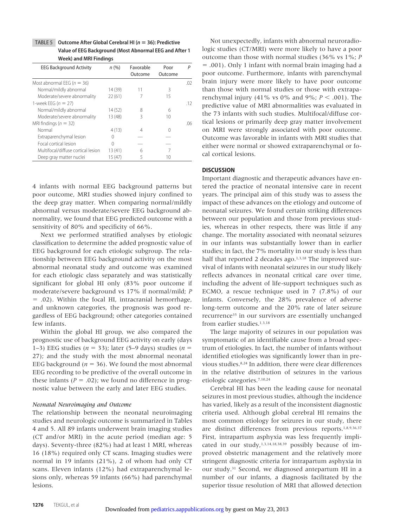TABLE 5 **Outcome After Global Cerebral HI (n 36): Predictive Value of EEG Background (Most Abnormal EEG and After 1 Week) and MRI Findings**

| <b>EEG Background Activity</b>     | $n (\%)$ | Favorable<br>Outcome | Poor<br>Outcome | Р   |
|------------------------------------|----------|----------------------|-----------------|-----|
| Most abnormal EEG ( $n = 36$ )     |          |                      |                 | .02 |
| Normal/mildly abnormal             | 14 (39)  | 11                   | ζ               |     |
| Moderate/severe abnormality        | 22(61)   |                      | 15              |     |
| 1-week EEG $(n = 27)$              |          |                      |                 | .12 |
| Normal/mildly abnormal             | 14(52)   | 8                    | 6               |     |
| Moderate/severe abnormality        | 13(48)   | ζ                    | 10              |     |
| MRI findings ( $n = 32$ )          |          |                      |                 | 06. |
| Normal                             | 4(13)    | 4                    |                 |     |
| Extraparenchymal lesion            | Ω        |                      |                 |     |
| Focal cortical lesion              | 0        |                      |                 |     |
| Multifocal/diffuse cortical lesion | 13 (41)  | 6                    | 7               |     |
| Deep gray matter nuclei            | 15(47)   |                      | 10              |     |

4 infants with normal EEG background patterns but poor outcome, MRI studies showed injury confined to the deep gray matter. When comparing normal/mildly abnormal versus moderate/severe EEG background abnormality, we found that EEG predicted outcome with a sensitivity of 80% and specificity of 66%.

Next we performed stratified analyses by etiologic classification to determine the added prognostic value of EEG background for each etiologic subgroup. The relationship between EEG background activity on the most abnormal neonatal study and outcome was examined for each etiologic class separately and was statistically significant for global HI only (83% poor outcome if moderate/severe background vs 17% if normal/mild; *P* - .02). Within the focal HI, intracranial hemorrhage, and unknown categories, the prognosis was good regardless of EEG background; other categories contained few infants.

Within the global HI group, we also compared the prognostic use of background EEG activity on early (days 1–3) EEG studies ( $n = 33$ ); later (5–9 days) studies ( $n =$ 27); and the study with the most abnormal neonatal EEG background ( $n = 36$ ). We found the most abnormal EEG recording to be predictive of the overall outcome in these infants ( $P = .02$ ); we found no difference in prognostic value between the early and later EEG studies.

# *Neonatal Neuroimaging and Outcome*

The relationship between the neonatal neuroimaging studies and neurologic outcome is summarized in Tables 4 and 5. All 89 infants underwent brain imaging studies (CT and/or MRI) in the acute period (median age: 5 days). Seventy-three (82%) had at least 1 MRI, whereas 16 (18%) required only CT scans. Imaging studies were normal in 19 infants (21%), 2 of whom had only CT scans. Eleven infants (12%) had extraparenchymal lesions only, whereas 59 infants (66%) had parenchymal lesions.

Not unexpectedly, infants with abnormal neuroradiologic studies (CT/MRI) were more likely to have a poor outcome than those with normal studies (36% vs 1%; *P* - .001). Only 1 infant with normal brain imaging had a poor outcome. Furthermore, infants with parenchymal brain injury were more likely to have poor outcome than those with normal studies or those with extraparenchymal injury (41% vs 0% and 9%;  $P < .001$ ). The predictive value of MRI abnormalities was evaluated in the 73 infants with such studies. Multifocal/diffuse cortical lesions or primarily deep gray matter involvement on MRI were strongly associated with poor outcome. Outcome was favorable in infants with MRI studies that either were normal or showed extraparenchymal or focal cortical lesions.

#### **DISCUSSION**

Important diagnostic and therapeutic advances have entered the practice of neonatal intensive care in recent years. The principal aim of this study was to assess the impact of these advances on the etiology and outcome of neonatal seizures. We found certain striking differences between our population and those from previous studies, whereas in other respects, there was little if any change. The mortality associated with neonatal seizures in our infants was substantially lower than in earlier studies; in fact, the 7% mortality in our study is less than half that reported 2 decades ago.<sup>1,3,18</sup> The improved survival of infants with neonatal seizures in our study likely reflects advances in neonatal critical care over time, including the advent of life-support techniques such as ECMO, a rescue technique used in 7 (7.8%) of our infants. Conversely, the 28% prevalence of adverse long-term outcome and the 20% rate of later seizure recurrence<sup>35</sup> in our survivors are essentially unchanged from earlier studies.<sup>1,3,18</sup>

The large majority of seizures in our population was symptomatic of an identifiable cause from a broad spectrum of etiologies. In fact, the number of infants without identified etiologies was significantly lower than in previous studies.8,24 In addition, there were clear differences in the relative distribution of seizures in the various etiologic categories.7,10,24

Cerebral HI has been the leading cause for neonatal seizures in most previous studies, although the incidence has varied, likely as a result of the inconsistent diagnostic criteria used. Although global cerebral HI remains the most common etiology for seizures in our study, there are distinct differences from previous reports.1,8,9,36,37 First, intrapartum asphyxia was less frequently implicated in our study,1,3,14,18,38,39 possibly because of improved obstetric management and the relatively more stringent diagnostic criteria for intrapartum asphyxia in our study.31 Second, we diagnosed antepartum HI in a number of our infants, a diagnosis facilitated by the superior tissue resolution of MRI that allowed detection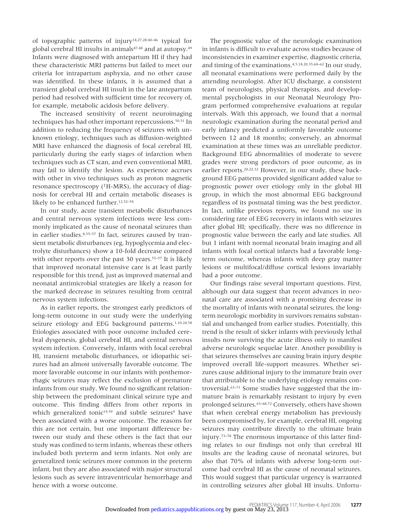of topographic patterns of injury14,27,28,40–46 typical for global cerebral HI insults in animals<sup>47,48</sup> and at autopsy.<sup>49</sup> Infants were diagnosed with antepartum HI if they had these characteristic MRI patterns but failed to meet our criteria for intrapartum asphyxia, and no other cause was identified. In these infants, it is assumed that a transient global cerebral HI insult in the late antepartum period had resolved with sufficient time for recovery of, for example, metabolic acidosis before delivery.

The increased sensitivity of recent neuroimaging techniques has had other important repercussions.<sup>50,51</sup> In addition to reducing the frequency of seizures with unknown etiology, techniques such as diffusion-weighted MRI have enhanced the diagnosis of focal cerebral HI, particularly during the early stages of infarction when techniques such as CT scan, and even conventional MRI, may fail to identify the lesion. As experience accrues with other in vivo techniques such as proton magnetic resonance spectroscopy  $(^1H-MRS)$ , the accuracy of diagnosis for cerebral HI and certain metabolic diseases is likely to be enhanced further.12,52–54

In our study, acute transient metabolic disturbances and central nervous system infections were less commonly implicated as the cause of neonatal seizures than in earlier studies.<sup>8,55-57</sup> In fact, seizures caused by transient metabolic disturbances (eg, hypoglycemia and electrolyte disturbances) show a 10-fold decrease compared with other reports over the past 30 years.<sup>55-57</sup> It is likely that improved neonatal intensive care is at least partly responsible for this trend, just as improved maternal and neonatal antimicrobial strategies are likely a reason for the marked decrease in seizures resulting from central nervous system infections.

As in earlier reports, the strongest early predictors of long-term outcome in our study were the underlying seizure etiology and EEG background patterns.<sup>1,10,24,58</sup> Etiologies associated with poor outcome included cerebral dysgenesis, global cerebral HI, and central nervous system infection. Conversely, infants with focal cerebral HI, transient metabolic disturbances, or idiopathic seizures had an almost universally favorable outcome. The more favorable outcome in our infants with posthemorrhagic seizures may reflect the exclusion of premature infants from our study. We found no significant relationship between the predominant clinical seizure type and outcome. This finding differs from other reports in which generalized tonic<sup>19,59</sup> and subtle seizures<sup>9</sup> have been associated with a worse outcome. The reasons for this are not certain, but one important difference between our study and these others is the fact that our study was confined to term infants, whereas these others included both preterm and term infants. Not only are generalized tonic seizures more common in the preterm infant, but they are also associated with major structural lesions such as severe intraventricular hemorrhage and hence with a worse outcome.

The prognostic value of the neurologic examination in infants is difficult to evaluate across studies because of inconsistencies in examiner expertise, diagnostic criteria, and timing of the examinations.4,5,18,20,35,60–62 In our study, all neonatal examinations were performed daily by the attending neurologist. After ICU discharge, a consistent team of neurologists, physical therapists, and developmental psychologists in our Neonatal Neurology Program performed comprehensive evaluations at regular intervals. With this approach, we found that a normal neurologic examination during the neonatal period and early infancy predicted a uniformly favorable outcome between 12 and 18 months; conversely, an abnormal examination at these times was an unreliable predictor. Background EEG abnormalities of moderate to severe grades were strong predictors of poor outcome, as in earlier reports.20,22,32 However, in our study, these background EEG patterns provided significant added value to prognostic power over etiology only in the global HI group, in which the most abnormal EEG background regardless of its postnatal timing was the best predictor. In fact, unlike previous reports, we found no use in considering rate of EEG recovery in infants with seizures after global HI; specifically, there was no difference in prognostic value between the early and late studies. All but 1 infant with normal neonatal brain imaging and all infants with focal cortical infarcts had a favorable longterm outcome, whereas infants with deep gray matter lesions or multifocal/diffuse cortical lesions invariably had a poor outcome.

Our findings raise several important questions. First, although our data suggest that recent advances in neonatal care are associated with a promising decrease in the mortality of infants with neonatal seizures, the longterm neurologic morbidity in survivors remains substantial and unchanged from earlier studies. Potentially, this trend is the result of sicker infants with previously lethal insults now surviving the acute illness only to manifest adverse neurologic sequelae later. Another possibility is that seizures themselves are causing brain injury despite improved overall life-support measures. Whether seizures cause additional injury to the immature brain over that attributable to the underlying etiology remains controversial.63–71 Some studies have suggested that the immature brain is remarkably resistant to injury by even prolonged seizures.<sup>63-68,72</sup> Conversely, others have shown that when cerebral energy metabolism has previously been compromised by, for example, cerebral HI, ongoing seizures may contribute directly to the ultimate brain injury.73–78 The enormous importance of this latter finding relates to our findings not only that cerebral HI insults are the leading cause of neonatal seizures, but also that 70% of infants with adverse long-term outcome had cerebral HI as the cause of neonatal seizures. This would suggest that particular urgency is warranted in controlling seizures after global HI insults. Unfortu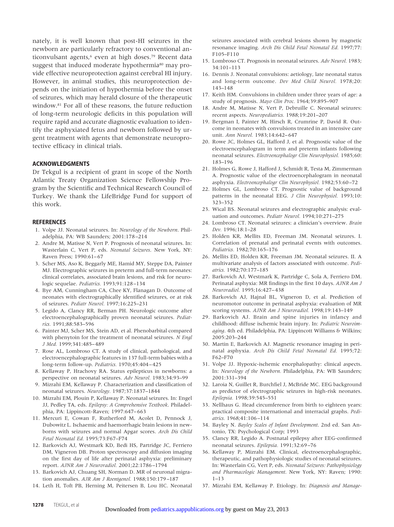nately, it is well known that post-HI seizures in the newborn are particularly refractory to conventional anticonvulsant agents,<sup>6</sup> even at high doses.<sup>79</sup> Recent data suggest that induced moderate hypothermia<sup>80</sup> may provide effective neuroprotection against cerebral HI injury. However, in animal studies, this neuroprotection depends on the initiation of hypothermia before the onset of seizures, which may herald closure of the therapeutic window.81 For all of these reasons, the future reduction of long-term neurologic deficits in this population will require rapid and accurate diagnostic evaluation to identify the asphyxiated fetus and newborn followed by urgent treatment with agents that demonstrate neuroprotective efficacy in clinical trials.

#### **ACKNOWLEDGMENTS**

Dr Tekgul is a recipient of grant in scope of the North Atlantic Treaty Organization Science Fellowship Program by the Scientific and Technical Research Council of Turkey. We thank the LifeBridge Fund for support of this work.

#### **REFERENCES**

- 1. Volpe JJ. Neonatal seizures. In: *Neurology of the Newborn*. Philadelphia, PA: WB Saunders; 2001:178 –214
- 2. Andre M, Matisse N, Vert P. Prognosis of neonatal seizures. In: Wasterlain C, Vert P, eds. *Neonatal Seizures*. New York, NY: Raven Press; 1990:61-67
- 3. Scher MS, Aso K, Beggarly ME, Hamid MY, Steppe DA, Painter MJ. Electrographic seizures in preterm and full-term neonates: clinical correlates, associated brain lesions, and risk for neurologic sequelae. *Pediatrics.* 1993;91:128 –134
- 4. Bye AM, Cunningham CA, Chee KY, Flanagan D. Outcome of neonates with electrographically identified seizures, or at risk of seizures. *Pediatr Neurol.* 1997;16:225–231
- 5. Legido A, Clancy RR, Berman PH. Neurologic outcome after electroencephalographically proven neonatal seizures. *Pediatrics.* 1991;88:583–596
- 6. Painter MJ, Scher MS, Stein AD, et al. Phenobarbital compared with phenytoin for the treatment of neonatal seizures. *N Engl J Med.* 1999;341:485– 489
- 7. Rose AL, Lombroso CT. A study of clinical, pathological, and electroencephalographic features in 137 full-term babies with a long-term follow-up. *Pediatrics.* 1970;45:404 – 425
- 8. Kellaway P, Hrachovy RA. Status epilepticus in newborns: a perspective on neonatal seizures. *Adv Neurol.* 1983;34:93–99
- 9. Mizrahi EM, Kellaway P. Characterization and classification of neonatal seizures. *Neurology.* 1987;37:1837–1844
- 10. Mizrahi EM, Plouin P, Kellaway P. Neonatal seizures. In: Engel JJ, Pedley TA, eds. *Epilepsy: A Comprehensive Textbook*. Philadelphia, PA: Lippincott-Raven; 1997:647-663
- 11. Mercuri E, Cowan F, Rutherford M, Acolet D, Pennock J, Dubowitz L. Ischaemic and haemorrhagic brain lesions in newborns with seizures and normal Apgar scores. *Arch Dis Child Fetal Neonatal Ed.* 1995;73:F67–F74
- 12. Barkovich AJ, Westmark KD, Bedi HS, Partridge JC, Ferriero DM, Vigneron DB. Proton spectroscopy and diffusion imaging on the first day of life after perinatal asphyxia: preliminary report. *AJNR Am J Neuroradiol.* 2001;22:1786 –1794
- 13. Barkovich AJ, Chuang SH, Norman D. MR of neuronal migration anomalies. *AJR Am J Roentgenol.* 1988;150:179 –187
- 14. Leth H, Toft PB, Herning M, Peitersen B, Lou HC. Neonatal

seizures associated with cerebral lesions shown by magnetic resonance imaging. *Arch Dis Child Fetal Neonatal Ed.* 1997;77: F105–F110

- 15. Lombroso CT. Prognosis in neonatal seizures. *Adv Neurol.* 1983; 34:101–113
- 16. Dennis J. Neonatal convulsions: aetiology, late neonatal status and long-term outcome. *Dev Med Child Neurol.* 1978;20: 143–148
- 17. Keith HM. Convulsions in children under three years of age: a study of prognosis. *Mayo Clin Proc.* 1964;39:895–907
- 18. Andre M, Matisse N, Vert P, Debruille C. Neonatal seizures: recent aspects. *Neuropediatrics.* 1988;19:201–207
- 19. Bergman I, Painter M, Hirsch R, Crumrine P, David R. Outcome in neonates with convulsions treated in an intensive care unit. Ann Neurol. 1983;14:642-647
- 20. Rowe JC, Holmes GL, Hafford J, et al. Prognostic value of the electroencephalogram in term and preterm infants following neonatal seizures. *Electroencephalogr Clin Neurophysiol.* 1985;60: 183–196
- 21. Holmes G, Rowe J, Hafford J, Schmidt R, Testa M, Zimmerman A. Prognostic value of the electroencephalogram in neonatal asphyxia. *Electroencephalogr Clin Neurophysiol.* 1982;53:60 –72
- 22. Holmes GL, Lombroso CT. Prognostic value of background patterns in the neonatal EEG. *J Clin Neurophysiol.* 1993;10: 323–352
- 23. Wical BS. Neonatal seizures and electrographic analysis: evaluation and outcomes. *Pediatr Neurol.* 1994;10:271–275
- 24. Lombroso CT. Neonatal seizures: a clinician's overview. *Brain Dev.* 1996;18:1–28
- 25. Holden KR, Mellits ED, Freeman JM. Neonatal seizures. I. Correlation of prenatal and perinatal events with outcomes. *Pediatrics.* 1982;70:165–176
- 26. Mellits ED, Holden KR, Freeman JM. Neonatal seizures. II. A multivariate analysis of factors associated with outcome. *Pediatrics.* 1982;70:177–185
- 27. Barkovich AJ, Westmark K, Partridge C, Sola A, Ferriero DM. Perinatal asphyxia: MR findings in the first 10 days. *AJNR Am J Neuroradiol.* 1995;16:427– 438
- 28. Barkovich AJ, Hajnal BL, Vigneron D, et al. Prediction of neuromotor outcome in perinatal asphyxia: evaluation of MR scoring systems. *AJNR Am J Neuroradiol.* 1998;19:143–149
- 29. Barkovich AJ. Brain and spine injuries in infancy and childhood: diffuse ischemic brain injury. In: *Pediatric Neuroimaging*. 4th ed. Philadelphia, PA: Lippincott Williams & Wilkins; 2005:203–244
- 30. Martin E, Barkovich AJ. Magnetic resonance imaging in perinatal asphyxia. *Arch Dis Child Fetal Neonatal Ed.* 1995;72: F62–F70
- 31. Volpe JJ. Hypoxic-ischemic encephalopathy: clinical aspects. In: *Neurology of the Newborn.* Philadelphia, PA: WB Saunders; 2001:331–394
- 32. Laroia N, Guillet R, Burchfiel J, McBride MC. EEG background as predictor of electrographic seizures in high-risk neonates. *Epilepsia.* 1998;39:545–551
- 33. Nellhaus G. Head circumference from birth to eighteen years: practical composite international and interracial graphs. *Pediatrics.* 1968;41:106 –114
- 34. Bayley N. *Bayley Scales of Infant Development*. 2nd ed. San Antonio, TX: Psychological Corp; 1993
- 35. Clancy RR, Legido A. Postnatal epilepsy after EEG-confirmed neonatal seizures. *Epilepsia.* 1991;32:69 –76
- 36. Kellaway P, Mizrahi EM. Clinical, electroencephalographic, therapeutic, and pathophysiologic studies of neonatal seizures. In: Wasterlain CG, Vert P, eds. *Neonatal Seizures: Pathophysiology and Pharmacologic Management*. New York, NY: Raven; 1990: 1–13
- 37. Mizrahi EM, Kellaway P. Etiology. In: *Diagnosis and Manage-*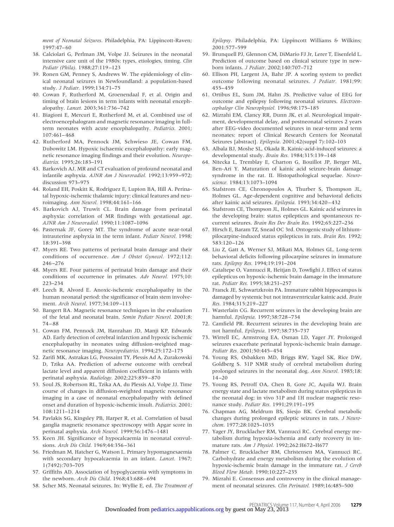*ment of Neonatal Seizures*. Philadelphia, PA: Lippincott-Raven; 1997:47– 60

- 38. Calciolari G, Perlman JM, Volpe JJ. Seizures in the neonatal intensive care unit of the 1980s: types, etiologies, timing. *Clin Pediatr (Phila).* 1988;27:119 –123
- 39. Ronen GM, Penney S, Andrews W. The epidemiology of clinical neonatal seizures in Newfoundland: a population-based study. *J Pediatr.* 1999;134:71–75
- 40. Cowan F, Rutherford M, Groenendaal F, et al. Origin and timing of brain lesions in term infants with neonatal encephalopathy. *Lancet.* 2003;361:736 –742
- 41. Biagioni E, Mercuri E, Rutherford M, et al. Combined use of electroencephalogram and magnetic resonance imaging in fullterm neonates with acute encephalopathy. *Pediatrics.* 2001; 107:461– 468
- 42. Rutherford MA, Pennock JM, Schwieso JE, Cowan FM, Dubowitz LM. Hypoxic ischaemic encephalopathy: early magnetic resonance imaging findings and their evolution. *Neuropediatrics.* 1995;26:183–191
- 43. Barkovich AJ. MR and CT evaluation of profound neonatal and infantile asphyxia. *AJNR Am J Neuroradiol.* 1992;13:959 –972; discussion 973–975
- 44. Roland EH, Poskitt K, Rodriguez E, Lupton BA, Hill A. Perinatal hypoxic-ischemic thalamic injury: clinical features and neuroimaging. *Ann Neurol.* 1998;44:161–166
- 45. Barkovich AJ, Truwit CL. Brain damage from perinatal asphyxia: correlation of MR findings with gestational age. *AJNR Am J Neuroradiol.* 1990;11:1087–1096
- 46. Pasternak JF, Gorey MT. The syndrome of acute near-total intrauterine asphyxia in the term infant. *Pediatr Neurol.* 1998; 18:391–398
- 47. Myers RE. Two patterns of perinatal brain damage and their conditions of occurrence. *Am J Obstet Gynecol.* 1972;112: 246 –276
- 48. Myers RE. Four patterns of perinatal brain damage and their conditions of occurrence in primates. *Adv Neurol.* 1975;10: 223–234
- 49. Leech R, Alvord E. Anoxic-ischemic encephalopathy in the human neonatal period: the significance of brain stem involvement. *Arch Neurol.* 1977;34:109 –113
- 50. Bangert BA. Magnetic resonance techniques in the evaluation of the fetal and neonatal brain. *Semin Pediatr Neurol.* 2001;8: 74 – 88
- 51. Cowan FM, Pennock JM, Hanrahan JD, Manji KP, Edwards AD. Early detection of cerebral infarction and hypoxic ischemic encephalopathy in neonates using diffusion-weighted magnetic resonance imaging. *Neuropediatrics.* 1994;25:172–175
- 52. Zarifi MK, Astrakas LG, Poussaint TY, Plessis Ad A, Zurakowski D, Tzika AA. Prediction of adverse outcome with cerebral lactate level and apparent diffusion coefficient in infants with perinatal asphyxia. *Radiology.* 2002;225:859 – 870
- 53. Soul JS, Robertson RL, Tzika AA, du Plessis AJ, Volpe JJ. Time course of changes in diffusion-weighted magnetic resonance imaging in a case of neonatal encephalopathy with defined onset and duration of hypoxic-ischemic insult. *Pediatrics.* 2001; 108:1211–1214
- 54. Pavlakis SG, Kingsley PB, Harper R, et al. Correlation of basal ganglia magnetic resonance spectroscopy with Apgar score in perinatal asphyxia. *Arch Neurol.* 1999;56:1476 –1481
- 55. Keen JH. Significance of hypocalcaemia in neonatal convulsions. *Arch Dis Child.* 1969;44:356 –361
- 56. Friedman M, Hatcher G, Watson L. Primary hypomagnesaemia with secondary hypocalcaemia in an infant. *Lancet.* 1967; 1(7492):703–705
- 57. Griffiths AD. Association of hypoglycaemia with symptoms in the newborn. *Arch Dis Child.* 1968;43:688 – 694
- 58. Scher MS. Neonatal seizures. In: Wyllie E, ed. *The Treatment of*

*Epilepsy*. Philadelphia, PA: Lippincott Williams & Wilkins; 2001:577–599

- 59. Brunquell PJ, Glennon CM, DiMario FJ Jr, Lerer T, Eisenfeld L. Prediction of outcome based on clinical seizure type in newborn infants. *J Pediatr.* 2002;140:707–712
- 60. Ellison PH, Largent JA, Bahr JP. A scoring system to predict outcome following neonatal seizures. *J Pediatr.* 1981;99: 455– 459
- 61. Ortibus EL, Sum JM, Hahn JS. Predictive value of EEG for outcome and epilepsy following neonatal seizures. *Electroencephalogr Clin Neurophysiol.* 1996;98:175–185
- 62. Mizrahi EM, Clancy RR, Dunn JK, et al. Neurological impairment, developmental delay, and postneonatal seizures 2 years after EEG-video documented seizures in near-term and term neonates: report of Clinical Research Centers for Neonatal Seizures [abstract]. *Epilepsia.* 2001;42(suppl 7):102–103
- 63. Albala BJ, Moshe SL, Okada R. Kainic-acid-induced seizures: a developmental study. *Brain Res.* 1984;315:139 –148
- 64. Nitecka L, Tremblay E, Charton G, Bouillot JP, Berger ML, Ben-Ari Y. Maturation of kainic acid seizure-brain damage syndrome in the rat. II. Histopathological sequelae. *Neuroscience.* 1984;13:1073–1094
- 65. Stafstrom CE, Chronopoulos A, Thurber S, Thompson JL, Holmes GL. Age-dependent cognitive and behavioral deficits after kainic acid seizures. *Epilepsia.* 1993;34:420 – 432
- 66. Stafstrom CE, Thompson JL, Holmes GL. Kainic acid seizures in the developing brain: status epilepticus and spontaneous recurrent seizures. *Brain Res Dev Brain Res.* 1992;65:227–236
- 67. Hirsch E, Baram TZ, Snead OC 3rd. Ontogenic study of lithiumpilocarpine-induced status epilepticus in rats. *Brain Res.* 1992; 583:120 –126
- 68. Liu Z, Gatt A, Werner SJ, Mikati MA, Holmes GL. Long-term behavioral deficits following pilocarpine seizures in immature rats. *Epilepsy Res.* 1994;19:191–204
- 69. Cataltepe O, Vannucci R, Heitjan D, Towfighi J. Effect of status epilepticus on hypoxic-ischemic brain damage in the immature rat. *Pediatr Res.* 1995;38:251–257
- 70. Franck JE, Schwartzkroin PA. Immature rabbit hippocampus is damaged by systemic but not intraventricular kainic acid. *Brain Res.* 1984;315:219 –227
- 71. Wasterlain CG. Recurrent seizures in the developing brain are harmful. *Epilepsia.* 1997;38:728 –734
- 72. Camfield PR. Recurrent seizures in the developing brain are not harmful. *Epilepsia.* 1997;38:735–737
- 73. Wirrell EC, Armstrong EA, Osman LD, Yager JY. Prolonged seizures exacerbate perinatal hypoxic-ischemic brain damage. *Pediatr Res.* 2001;50:445– 454
- 74. Young RS, Osbakken MD, Briggs RW, Yagel SK, Rice DW, Goldberg S. 31P NMR study of cerebral metabolism during prolonged seizures in the neonatal dog. *Ann Neurol.* 1985;18:  $14 - 20$
- 75. Young RS, Petroff OA, Chen B, Gore JC, Aquila WJ. Brain energy state and lactate metabolism during status epilepticus in the neonatal dog: in vivo 31P and 1H nuclear magnetic resonance study. *Pediatr Res.* 1991;29:191–195
- 76. Chapman AG, Meldrum BS, Siesjo BK. Cerebral metabolic changes during prolonged epileptic seizures in rats. *J Neurochem.* 1977;28:1025–1035
- 77. Yager JY, Brucklacher RM, Vannucci RC. Cerebral energy metabolism during hypoxia-ischemia and early recovery in immature rats. *Am J Physiol.* 1992;262:H672–H677
- 78. Palmer C, Brucklacher RM, Christensen MA, Vannucci RC. Carbohydrate and energy metabolism during the evolution of hypoxic-ischemic brain damage in the immature rat. *J Cereb Blood Flow Metab.* 1990;10:227–235
- 79. Mizrahi E. Consensus and controversy in the clinical management of neonatal seizures. *Clin Perinatol.* 1989;16:485–500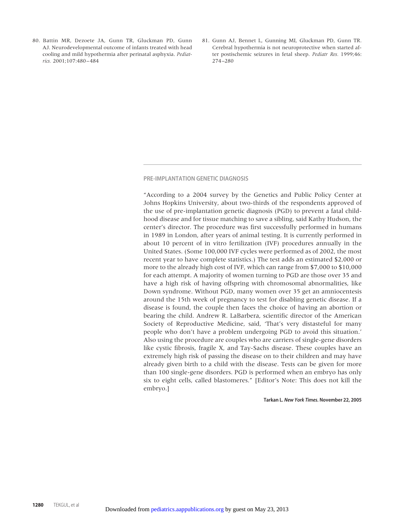- 80. Battin MR, Dezoete JA, Gunn TR, Gluckman PD, Gunn AJ. Neurodevelopmental outcome of infants treated with head cooling and mild hypothermia after perinatal asphyxia. *Pediatrics.* 2001;107:480 – 484
- 81. Gunn AJ, Bennet L, Gunning MI, Gluckman PD, Gunn TR. Cerebral hypothermia is not neuroprotective when started after postischemic seizures in fetal sheep. *Pediatr Res.* 1999;46: 274 –280

#### **PRE-IMPLANTATION GENETIC DIAGNOSIS**

"According to a 2004 survey by the Genetics and Public Policy Center at Johns Hopkins University, about two-thirds of the respondents approved of the use of pre-implantation genetic diagnosis (PGD) to prevent a fatal childhood disease and for tissue matching to save a sibling, said Kathy Hudson, the center's director. The procedure was first successfully performed in humans in 1989 in London, after years of animal testing. It is currently performed in about 10 percent of in vitro fertilization (IVF) procedures annually in the United States. (Some 100,000 IVF cycles were performed as of 2002, the most recent year to have complete statistics.) The test adds an estimated \$2,000 or more to the already high cost of IVF, which can range from \$7,000 to \$10,000 for each attempt. A majority of women turning to PGD are those over 35 and have a high risk of having offspring with chromosomal abnormalities, like Down syndrome. Without PGD, many women over 35 get an amniocentesis around the 15th week of pregnancy to test for disabling genetic disease. If a disease is found, the couple then faces the choice of having an abortion or bearing the child. Andrew R. LaBarbera, scientific director of the American Society of Reproductive Medicine, said, 'That's very distasteful for many people who don't have a problem undergoing PGD to avoid this situation.' Also using the procedure are couples who are carriers of single-gene disorders like cystic fibrosis, fragile X, and Tay-Sachs disease. These couples have an extremely high risk of passing the disease on to their children and may have already given birth to a child with the disease. Tests can be given for more than 100 single-gene disorders. PGD is performed when an embryo has only six to eight cells, called blastomeres." [Editor's Note: This does not kill the embryo.]

#### **Tarkan L. New York Times. November 22, 2005**